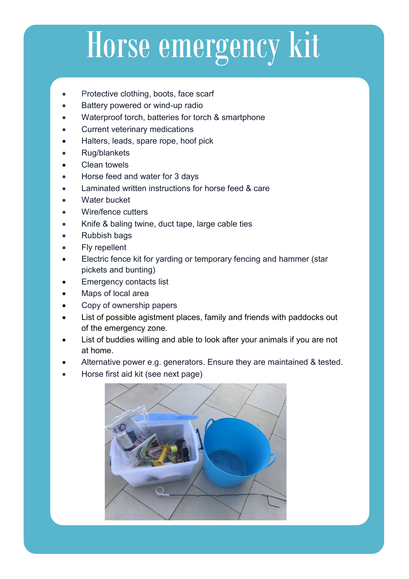## Horse emergency kit

- Protective clothing, boots, face scarf
- Battery powered or wind-up radio
- Waterproof torch, batteries for torch & smartphone
- Current veterinary medications
- Halters, leads, spare rope, hoof pick
- Rug/blankets
- **Clean towels**
- Horse feed and water for 3 days
- Laminated written instructions for horse feed & care
- Water bucket
- Wire/fence cutters
- Knife & baling twine, duct tape, large cable ties
- Rubbish bags
- Fly repellent
- Electric fence kit for yarding or temporary fencing and hammer (star pickets and bunting)
- **Emergency contacts list**
- Maps of local area
- Copy of ownership papers
- List of possible agistment places, family and friends with paddocks out of the emergency zone.
- List of buddies willing and able to look after your animals if you are not at home.
- Alternative power e.g. generators. Ensure they are maintained & tested.
- Horse first aid kit (see next page)